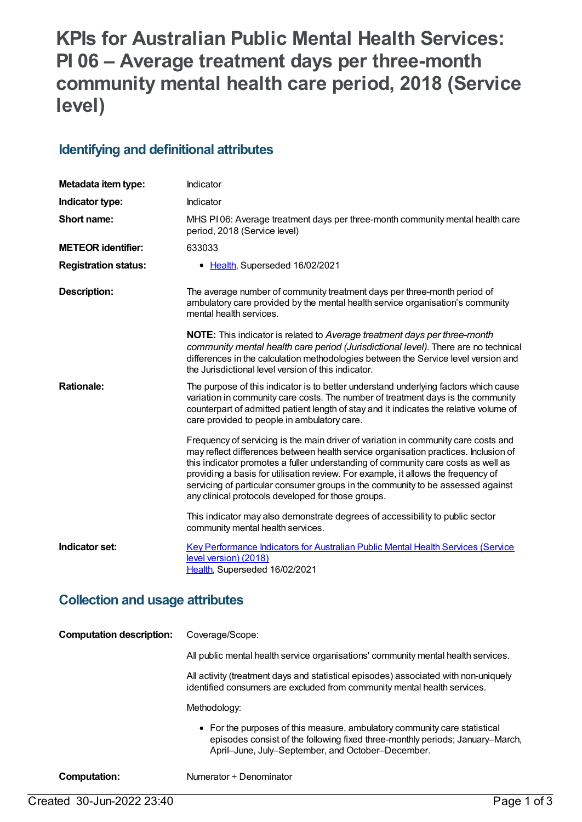# **KPIs for Australian Public Mental Health Services: PI 06 – Average treatment days per three-month community mental health care period, 2018 (Service level)**

#### **Identifying and definitional attributes**

| Metadata item type:         | Indicator                                                                                                                                                                                                                                                                                                                                                                                                                                                                                    |
|-----------------------------|----------------------------------------------------------------------------------------------------------------------------------------------------------------------------------------------------------------------------------------------------------------------------------------------------------------------------------------------------------------------------------------------------------------------------------------------------------------------------------------------|
| Indicator type:             | Indicator                                                                                                                                                                                                                                                                                                                                                                                                                                                                                    |
| Short name:                 | MHS PI06: Average treatment days per three-month community mental health care<br>period, 2018 (Service level)                                                                                                                                                                                                                                                                                                                                                                                |
| <b>METEOR</b> identifier:   | 633033                                                                                                                                                                                                                                                                                                                                                                                                                                                                                       |
| <b>Registration status:</b> | • Health, Superseded 16/02/2021                                                                                                                                                                                                                                                                                                                                                                                                                                                              |
| <b>Description:</b>         | The average number of community treatment days per three-month period of<br>ambulatory care provided by the mental health service organisation's community<br>mental health services.                                                                                                                                                                                                                                                                                                        |
|                             | NOTE: This indicator is related to Average treatment days per three-month<br>community mental health care period (Jurisdictional level). There are no technical<br>differences in the calculation methodologies between the Service level version and<br>the Jurisdictional level version of this indicator.                                                                                                                                                                                 |
| <b>Rationale:</b>           | The purpose of this indicator is to better understand underlying factors which cause<br>variation in community care costs. The number of treatment days is the community<br>counterpart of admitted patient length of stay and it indicates the relative volume of<br>care provided to people in ambulatory care.                                                                                                                                                                            |
|                             | Frequency of servicing is the main driver of variation in community care costs and<br>may reflect differences between health service organisation practices. Inclusion of<br>this indicator promotes a fuller understanding of community care costs as well as<br>providing a basis for utilisation review. For example, it allows the frequency of<br>servicing of particular consumer groups in the community to be assessed against<br>any clinical protocols developed for those groups. |
|                             | This indicator may also demonstrate degrees of accessibility to public sector<br>community mental health services.                                                                                                                                                                                                                                                                                                                                                                           |
| Indicator set:              | Key Performance Indicators for Australian Public Mental Health Services (Service<br>level version) (2018)<br>Health, Superseded 16/02/2021                                                                                                                                                                                                                                                                                                                                                   |

#### **Collection and usage attributes**

| <b>Computation description:</b> | Coverage/Scope:                                                                                                                                                                                                 |
|---------------------------------|-----------------------------------------------------------------------------------------------------------------------------------------------------------------------------------------------------------------|
|                                 | All public mental health service organisations' community mental health services.                                                                                                                               |
|                                 | All activity (treatment days and statistical episodes) associated with non-uniquely<br>identified consumers are excluded from community mental health services.                                                 |
|                                 | Methodology:                                                                                                                                                                                                    |
|                                 | • For the purposes of this measure, ambulatory community care statistical<br>episodes consist of the following fixed three-monthly periods; January–March,<br>April-June, July-September, and October-December. |
| Computation:                    | Numerator ÷ Denominator                                                                                                                                                                                         |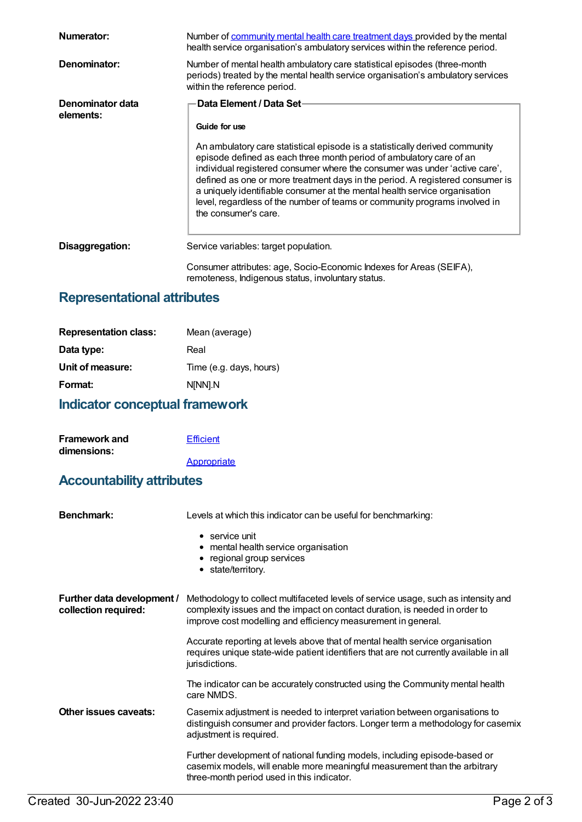| Numerator:                    | Number of community mental health care treatment days provided by the mental<br>health service organisation's ambulatory services within the reference period.                                                                                                                                                                                                                                                                                                                                                             |
|-------------------------------|----------------------------------------------------------------------------------------------------------------------------------------------------------------------------------------------------------------------------------------------------------------------------------------------------------------------------------------------------------------------------------------------------------------------------------------------------------------------------------------------------------------------------|
| Denominator:                  | Number of mental health ambulatory care statistical episodes (three-month<br>periods) treated by the mental health service organisation's ambulatory services<br>within the reference period.                                                                                                                                                                                                                                                                                                                              |
| Denominator data<br>elements: | Data Element / Data Set-<br>Guide for use<br>An ambulatory care statistical episode is a statistically derived community<br>episode defined as each three month period of ambulatory care of an<br>individual registered consumer where the consumer was under 'active care',<br>defined as one or more treatment days in the period. A registered consumer is<br>a uniquely identifiable consumer at the mental health service organisation<br>level, regardless of the number of teams or community programs involved in |
| Disaggregation:               | the consumer's care.<br>Service variables: target population.<br>Consumer attributes: age, Socio-Economic Indexes for Areas (SEIFA),<br>remoteness, Indigenous status, involuntary status.                                                                                                                                                                                                                                                                                                                                 |

## **Representational attributes**

| <b>Representation class:</b> | Mean (average)          |
|------------------------------|-------------------------|
| Data type:                   | Real                    |
| Unit of measure:             | Time (e.g. days, hours) |
| Format:                      | N[NN].N                 |
|                              |                         |

## **Indicator conceptual framework**

| <b>Framework and</b> | <b>Efficient</b> |
|----------------------|------------------|
| dimensions:          |                  |
|                      | Appropriate      |

### **Accountability attributes**

| Benchmark:                                         | Levels at which this indicator can be useful for benchmarking:                                                                                                                                                                     |
|----------------------------------------------------|------------------------------------------------------------------------------------------------------------------------------------------------------------------------------------------------------------------------------------|
|                                                    | $\bullet$ service unit<br>• mental health service organisation<br>• regional group services<br>• state/territory.                                                                                                                  |
| Further data development /<br>collection required: | Methodology to collect multifaceted levels of service usage, such as intensity and<br>complexity issues and the impact on contact duration, is needed in order to<br>improve cost modelling and efficiency measurement in general. |
|                                                    | Accurate reporting at levels above that of mental health service organisation<br>requires unique state-wide patient identifiers that are not currently available in all<br>jurisdictions.                                          |
|                                                    | The indicator can be accurately constructed using the Community mental health<br>care NMDS.                                                                                                                                        |
| Other issues caveats:                              | Casemix adjustment is needed to interpret variation between organisations to<br>distinguish consumer and provider factors. Longer term a methodology for casemix<br>adjustment is required.                                        |
|                                                    | Further development of national funding models, including episode-based or<br>casemix models, will enable more meaningful measurement than the arbitrary<br>three-month period used in this indicator.                             |